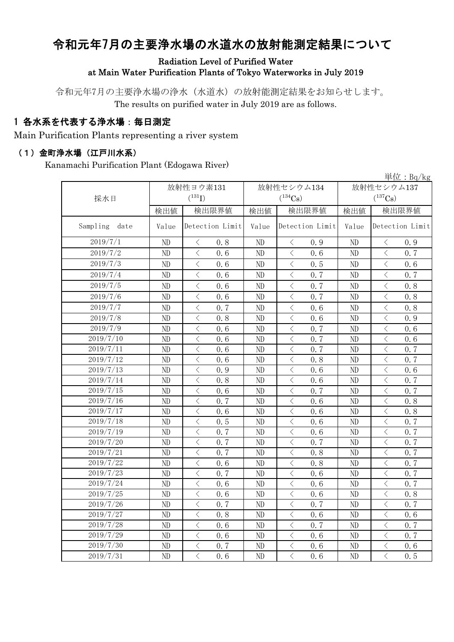# 令和元年7月の主要浄水場の水道水の放射能測定結果について

#### Radiation Level of Purified Water at Main Water Purification Plants of Tokyo Waterworks in July 2019

令和元年7月の主要浄水場の浄水(水道水)の放射能測定結果をお知らせします。 The results on purified water in July 2019 are as follows.

## 1 各水系を代表する浄水場:毎日測定

Main Purification Plants representing a river system

#### (1)金町浄水場(江戸川水系)

Kanamachi Purification Plant (Edogawa River)

単位:Bq/kg 検出値 | 検出限直 | 検出限界値 | 検出値 | 検出限界値 Value Detection Limit Value Detection Limit Value ND < 0.8 ND < 0.9 ND < 0.9 ND  $\vert$   $\langle$  0.6  $\vert$  ND  $\vert$   $\langle$  0.6  $\vert$  ND  $\vert$   $\langle$  0.7 ND < 0.6 ND < 0.5 ND < 0.6 ND  $\vert$   $\langle$  0.6  $\vert$  ND  $\vert$   $\langle$  0.7  $\vert$  ND  $\vert$   $\langle$  0.7 ND < 0.6 ND < 0.7 ND < 0.8 ND < 0.6 ND < 0.7 ND < 0.8 ND < 0.7 ND < 0.6 ND < 0.8 ND < 0.8 ND < 0.6 ND < 0.9 ND  $\vert$  < 0.6 | ND  $\vert$  < 0.7 | ND  $\vert$  < 0.6 ND < 0.6 ND < 0.7 ND < 0.6 ND  $\vert$   $\langle$  0.6  $\vert$  ND  $\vert$   $\langle$  0.7  $\vert$  ND  $\vert$   $\langle$  0.7 ND  $\vert$   $\langle$  0.6  $\vert$  ND  $\vert$   $\langle$  0.8  $\vert$  ND  $\vert$   $\langle$  0.7 ND < 0.9 ND < 0.6 ND < 0.6 ND  $\vert$   $\langle$  0.8  $\vert$  ND  $\vert$   $\langle$  0.6  $\vert$  ND  $\vert$   $\langle$  0.7 ND  $\vert$   $\langle$  0.6  $\vert$  ND  $\vert$   $\langle$  0.7  $\vert$  ND  $\vert$   $\langle$  0.7 ND < 0.7 ND < 0.6 ND < 0.8 ND < 0.6 ND < 0.6 ND < 0.8 ND  $\vert$   $\langle$  0.5  $\vert$  ND  $\vert$   $\langle$  0.6  $\vert$  ND  $\vert$   $\langle$  0.7 ND  $\vert$   $\langle$  0.7  $\vert$  ND  $\vert$   $\langle$  0.6  $\vert$  ND  $\vert$   $\langle$  0.7 ND  $\vert$   $\langle$  0.7  $\vert$  ND  $\vert$   $\langle$  0.7  $\vert$  ND  $\vert$   $\langle$  0.7 ND  $\vert$   $\langle$  0.7  $\vert$  ND  $\vert$   $\langle$  0.8  $\vert$  ND  $\vert$   $\langle$  0.7 ND  $\vert$   $\langle$  0.6  $\vert$  ND  $\vert$   $\langle$  0.8  $\vert$  ND  $\vert$   $\langle$  0.7 ND  $\vert$   $\langle$  0.7  $\vert$  ND  $\vert$   $\langle$  0.6  $\vert$  ND  $\vert$   $\langle$  0.7 ND  $\vert$   $\langle$  0.6  $\vert$  ND  $\vert$   $\langle$  0.6  $\vert$  ND  $\vert$   $\langle$  0.7 ND  $\vert$  < 0.6 | ND  $\vert$  < 0.6 | ND  $\vert$  < 0.8 ND  $\vert$   $\langle$  0.7  $\vert$  ND  $\vert$   $\langle$  0.7  $\vert$  ND  $\vert$   $\langle$  0.7 ND < 0.8 ND < 0.6 ND < 0.6 ND  $\vert$   $\langle$  0.6  $\vert$  ND  $\vert$   $\langle$  0.7  $\vert$  ND  $\vert$   $\langle$  0.7 ND  $\vert$   $\langle$  0.6  $\vert$  ND  $\vert$   $\langle$  0.6  $\vert$  ND  $\vert$   $\langle$  0.7 ND < 0.7 ND < 0.6 ND < 0.6 2019/7/31 ND < 0.6 ND < 0.6 ND < 0.5 2019/7/2 2019/7/29 2019/7/12 2019/7/7 2019/7/13 採水日 放射性ヨウ素131  $(^{131}\text{I})$ 放射性セシウム134  $(^{134}Cs)$ 放射性セシウム137  $(^{137}\mathrm{Cs})$ Detection Limit Value Detection Limit 2019/7/1 Sampling date 2019/7/24 2019/7/3 2019/7/15 2019/7/16 2019/7/18 2019/7/17 2019/7/27 2019/7/28 2019/7/4 2019/7/26 2019/7/19 2019/7/20 2019/7/21 2019/7/8 2019/7/9 2019/7/5 2019/7/6 2019/7/22 2019/7/14 2019/7/25 2019/7/11 2019/7/23 2019/7/10 2019/7/30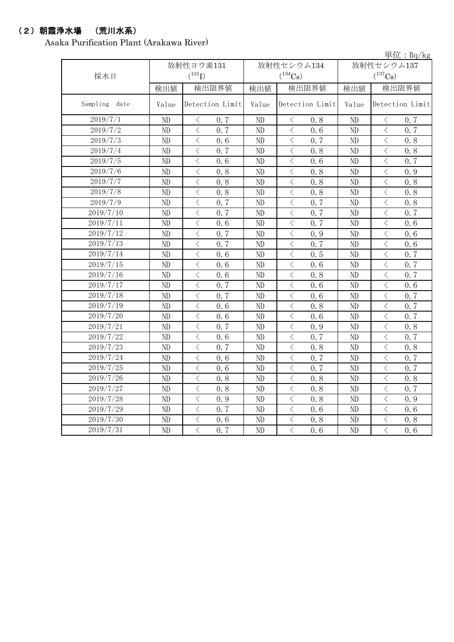# (2)朝霞浄水場 (荒川水系)

Asaka Purification Plant (Arakawa River)

|               |           |                                                 |            |                                                                                                                                                                      |       | 単位: $Bq/kg$                                     |
|---------------|-----------|-------------------------------------------------|------------|----------------------------------------------------------------------------------------------------------------------------------------------------------------------|-------|-------------------------------------------------|
|               | 放射性ヨウ素131 |                                                 | 放射性セシウム134 | 放射性セシウム137                                                                                                                                                           |       |                                                 |
| 採水日           |           | $(^{131}I)$                                     |            | $(^{134}Cs)$                                                                                                                                                         |       | $(^{137}Cs)$                                    |
|               | 検出値       | 検出限界値                                           | 検出値        | 検出限界値                                                                                                                                                                |       | 検出限界値                                           |
| Sampling date | Value     | Detection Limit                                 | Value      | Detection Limit                                                                                                                                                      | Value | Detection Limit                                 |
| 2019/7/1      | ND        | $\langle$<br>0.7                                | ND         | $\langle$<br>0.8                                                                                                                                                     | ND    | $\langle$<br>0.7                                |
| 2019/7/2      | ND        | $\langle$<br>0.7                                | ND         | $\langle$<br>0.6                                                                                                                                                     | ND    | $\langle$<br>0.7                                |
| 2019/7/3      | ND        | $\langle$<br>0.6                                | ND         | $\langle$<br>0.7                                                                                                                                                     | ND    | $\,$ $\,$ $\,$<br>0.8                           |
| 2019/7/4      | ND        | $\overline{\left\langle \right\rangle }$<br>0.7 | ND         | $\lt$<br>0.8                                                                                                                                                         | ND    | $\lt$<br>0.8                                    |
| 2019/7/5      | ND        | $\overline{\langle}$<br>0.6                     | ND         | $\langle$<br>0.6                                                                                                                                                     | ND    | $\lt$<br>0.7                                    |
| 2019/7/6      | ND        | $\overline{\left\langle \right\rangle }$<br>0.8 | ND         | $\lt$<br>0.8                                                                                                                                                         | ND    | $\langle$<br>0.9                                |
| 2019/7/7      | ND        | $\overline{\left\langle \right\rangle }$<br>0.8 | ND         | $\langle$<br>0.8                                                                                                                                                     | ND    | $\overline{\left\langle \right\rangle }$<br>0.8 |
| 2019/7/8      | ND        | $\overline{\left\langle \right\rangle }$<br>0.8 | ND         | $\overline{\left\langle \right\rangle }$<br>0.8                                                                                                                      | ND    | $\langle$<br>0.8                                |
| 2019/7/9      | ND        | $\overline{\left\langle \right\rangle }$<br>0.7 | ND         | $\langle$<br>0.7                                                                                                                                                     | ND    | $\overline{\left\langle \right\rangle }$<br>0.8 |
| 2019/7/10     | ND        | $\overline{\langle}$<br>0.7                     | ND         | $\langle$<br>0.7                                                                                                                                                     | ND    | $\langle$<br>0.7                                |
| 2019/7/11     | ND        | $\langle$<br>0, 6                               | ND         | $\overline{\left\langle \right\rangle }$<br>0.7                                                                                                                      | ND    | $\langle$<br>0, 6                               |
| 2019/7/12     | ND        | $\overline{\left\langle \right\rangle }$<br>0.7 | ND         | $\langle$<br>0.9                                                                                                                                                     | ND    | $\langle$<br>0, 6                               |
| 2019/7/13     | ND        | $\overline{\left\langle \right\rangle }$<br>0.7 | ND         | $\overline{\left\langle \right\rangle }$<br>0.7                                                                                                                      | ND    | $\langle$<br>0.6                                |
| 2019/7/14     | ND        | $\langle$<br>0.6                                | ND         | $\overline{\left\langle \right. }% ,\left\langle \overline{\left\langle \right. }% ,\left\langle \overline{\left\langle \right\rangle }\right\rangle \right.$<br>0.5 | ND    | $\bigg\langle$<br>0.7                           |
| 2019/7/15     | ND        | $\langle$<br>0, 6                               | ND         | $\langle$<br>0.6                                                                                                                                                     | ND    | $\langle$<br>0, 7                               |
| 2019/7/16     | ND        | $\langle$<br>0.6                                | ND         | $\langle$<br>0.8                                                                                                                                                     | ND    | $\langle$<br>0.7                                |
| 2019/7/17     | ND        | $\overline{\left\langle \right\rangle }$<br>0.7 | ND         | $\overline{\left\langle \right\rangle }$<br>0.6                                                                                                                      | ND    | $\overline{\left\langle \right\rangle }$<br>0.6 |
| 2019/7/18     | ND        | $\overline{\left\langle \right\rangle }$<br>0.7 | ND         | $\overline{\left\langle \right\rangle }$<br>0.6                                                                                                                      | ND    | $\langle$<br>0.7                                |
| 2019/7/19     | ND        | $\overline{\left\langle \right\rangle }$<br>0.6 | ND         | $\overline{\left\langle \right\rangle }$<br>0.8                                                                                                                      | ND    | $\langle$<br>0.7                                |
| 2019/7/20     | ND        | $\overline{\left\langle \right\rangle }$<br>0.6 | ND         | $\langle$<br>0.6                                                                                                                                                     | ND    | $\lt$<br>0.7                                    |
| 2019/7/21     | ND        | $\overline{\left\langle \right\rangle }$<br>0.7 | ND         | $\langle$<br>0.9                                                                                                                                                     | ND    | $\,$ $\,$ $\,$<br>0.8                           |
| 2019/7/22     | ND        | $\langle$<br>0.6                                | ND         | $\langle$<br>0.7                                                                                                                                                     | ND    | $\langle$<br>0.7                                |
| 2019/7/23     | ND        | $\langle$<br>0.7                                | ND         | $\langle$<br>0.8                                                                                                                                                     | ND    | $\lt$<br>0.8                                    |
| 2019/7/24     | ND        | $\langle$<br>0.6                                | ND         | $\langle$<br>0.7                                                                                                                                                     | ND    | $\,$ $\,$ $\,$<br>0.7                           |
| 2019/7/25     | ND        | $\lt$<br>0.6                                    | $\rm ND$   | $\lt$<br>0.7                                                                                                                                                         | ND    | 0.7<br>$\lt$                                    |
| 2019/7/26     | ND        | $\langle$<br>0.8                                | ND         | $\langle$<br>0.8                                                                                                                                                     | ND    | $\langle$<br>0.8                                |
| 2019/7/27     | ND        | $\langle$<br>0.8                                | ND         | $\lt$<br>0.8                                                                                                                                                         | ND    | $\lt$<br>0.7                                    |
| 2019/7/28     | ND        | $\lt$<br>0.9                                    | ND         | $\langle$<br>0.8                                                                                                                                                     | ND    | $\lt$<br>0.9                                    |
| 2019/7/29     | ND        | $\, < \,$<br>0.7                                | ND         | $\,$ $\,$ $\,$<br>0.6                                                                                                                                                | ND    | $\,<\,$<br>0.6                                  |
| 2019/7/30     | ND        | $\lt$<br>0.6                                    | ND         | 0.8                                                                                                                                                                  | ND    | $\lt$<br>0.8                                    |
| 2019/7/31     | ND        | $\langle$<br>0.7                                | ND         | $\langle$<br>0.6                                                                                                                                                     | ND    | $\lt$<br>0.6                                    |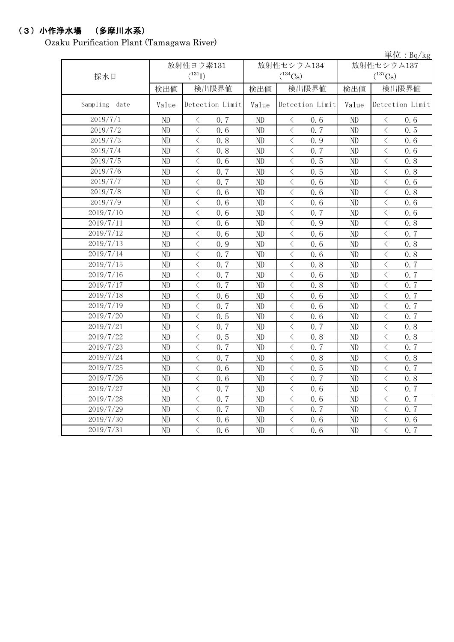# (3)小作浄水場 (多摩川水系)

Ozaku Purification Plant (Tamagawa River)

|               |           |                                                 |       |                                                                                                                                                                                                                                                |            | 単位: Bq/kg                                        |  |
|---------------|-----------|-------------------------------------------------|-------|------------------------------------------------------------------------------------------------------------------------------------------------------------------------------------------------------------------------------------------------|------------|--------------------------------------------------|--|
|               | 放射性ヨウ素131 |                                                 |       | 放射性セシウム134                                                                                                                                                                                                                                     | 放射性セシウム137 |                                                  |  |
| 採水日           |           | $(^{131}I)$                                     |       | $(^{134}Cs)$                                                                                                                                                                                                                                   |            | $(^{137}Cs)$                                     |  |
|               | 検出値       | 検出限界値                                           | 検出値   | 検出限界値                                                                                                                                                                                                                                          |            | 検出限界値                                            |  |
| Sampling date | Value     | Detection Limit                                 | Value | Detection Limit                                                                                                                                                                                                                                | Value      | Detection Limit                                  |  |
| 2019/7/1      | ND        | $\langle$<br>0, 7                               | ND    | $\lt$<br>0.6                                                                                                                                                                                                                                   | ND         | $\,$ $\,$ $\,$<br>0.6                            |  |
| 2019/7/2      | ND        | $\overline{\langle}$<br>0, 6                    | ND    | $\overline{\langle}$<br>0, 7                                                                                                                                                                                                                   | ND         | $\langle$<br>0.5                                 |  |
| 2019/7/3      | ND        | $\lt$<br>0.8                                    | ND    | $\langle$<br>0.9                                                                                                                                                                                                                               | ND         | $\langle$<br>0.6                                 |  |
| 2019/7/4      | ND        | $\overline{\left\langle \right\rangle }$<br>0.8 | ND    | $\langle$<br>0.7                                                                                                                                                                                                                               | ND         | $\lt$<br>0.6                                     |  |
| 2019/7/5      | ND        | $\lt$<br>0.6                                    | ND    | $\langle$<br>0.5                                                                                                                                                                                                                               | ND         | $\langle$<br>0.8                                 |  |
| 2019/7/6      | ND        | $\lt$<br>0.7                                    | ND    | $\,$ $\,$ $\,$<br>0.5                                                                                                                                                                                                                          | ND         | $\overline{\left\langle \right\rangle }$<br>0.8  |  |
| 2019/7/7      | ND        | $\overline{\langle}$<br>0.7                     | ND    | $\overline{\left\langle \right\rangle }$<br>0.6                                                                                                                                                                                                | ND         | $\overline{\langle}$<br>0, 6                     |  |
| 2019/7/8      | ND        | $\overline{\left\langle \right\rangle }$<br>0.6 | ND    | $\langle$<br>0.6                                                                                                                                                                                                                               | ND         | $\overline{\left\langle \right\rangle }$<br>0.8  |  |
| 2019/7/9      | ND        | $\lt$<br>0.6                                    | ND    | $\langle$<br>0.6                                                                                                                                                                                                                               | ND         | $\lt$<br>0.6                                     |  |
| 2019/7/10     | ND        | $\lt$<br>0.6                                    | ND    | $\langle$<br>0.7                                                                                                                                                                                                                               | ND         | $\overline{\left\langle \right\rangle }$<br>0.6  |  |
| 2019/7/11     | ND        | $\langle$<br>0.6                                | ND    | $\lt$<br>0.9                                                                                                                                                                                                                                   | ND         | $\overline{\left\langle \right\rangle }$<br>0.8  |  |
| 2019/7/12     | ND        | $\langle$<br>0.6                                | ND    | $\,$ $\,$ $\,$<br>0.6                                                                                                                                                                                                                          | ND         | $\overline{\left\langle \right\rangle }$<br>0.7  |  |
| 2019/7/13     | ND        | $\langle$<br>0.9                                | ND    | $\, <\,$<br>0.6                                                                                                                                                                                                                                | ND         | $\overline{\left\langle \right\rangle }$<br>0.8  |  |
| 2019/7/14     | ND        | $\overline{\left\langle \right\rangle }$<br>0.7 | ND    | $\,$ $\,$ $\,$<br>0.6                                                                                                                                                                                                                          | ND         | $\overline{\left\langle \right\rangle }$<br>0.8  |  |
| 2019/7/15     | ND        | $\lt$<br>0.7                                    | ND    | $\overline{\left\langle \right. }% ,\left\langle \overline{\left\langle \right. }\right\rangle _{0}\right\langle \overline{\left\langle \right. }% ,\left\langle \overline{\left\langle \right. }\right\rangle _{0}\right\rangle _{0}}$<br>0.8 | ND         | $\overline{\left\langle \right\rangle }$<br>0.7  |  |
| 2019/7/16     | ND        | $\langle$<br>0.7                                | ND    | $\,$ $\,$ $\,$<br>0.6                                                                                                                                                                                                                          | ND         | $\overline{\left\langle \right\rangle }$<br>0.7  |  |
| 2019/7/17     | ND        | $\overline{\langle}$<br>0.7                     | ND    | $\langle$<br>0.8                                                                                                                                                                                                                               | ND         | $\overline{\langle}$<br>0.7                      |  |
| 2019/7/18     | ND        | $\langle$<br>0.6                                | ND    | $\langle$<br>0.6                                                                                                                                                                                                                               | ND         | $\overline{\left\langle \right\rangle }$<br>0.7  |  |
| 2019/7/19     | ND        | $\overline{\left\langle \right\rangle }$<br>0.7 | ND    | $\langle$<br>0.6                                                                                                                                                                                                                               | ND         | $\overline{\left\langle \right\rangle }$<br>0, 7 |  |
| 2019/7/20     | ND        | $\langle$<br>0.5                                | ND    | $\bigl\langle$<br>0.6                                                                                                                                                                                                                          | $\rm ND$   | $\lt$<br>0.7                                     |  |
| 2019/7/21     | ND        | $\langle$<br>0.7                                | ND    | $\overline{\left\langle \right\rangle }$<br>0.7                                                                                                                                                                                                | ND         | $\overline{\left\langle \right\rangle }$<br>0.8  |  |
| 2019/7/22     | ND        | $\langle$<br>0.5                                | ND    | $\,$ $\,$ $\,$<br>0.8                                                                                                                                                                                                                          | ND         | $\langle$<br>0.8                                 |  |
| 2019/7/23     | ND        | $\overline{\left\langle \right\rangle }$<br>0.7 | ND    | $\langle$<br>0.7                                                                                                                                                                                                                               | ND         | $\overline{\left\langle \right\rangle }$<br>0.7  |  |
| 2019/7/24     | ND        | $\overline{\left\langle \right\rangle }$<br>0.7 | ND    | $\overline{\left\langle \right\rangle }$<br>0.8                                                                                                                                                                                                | ND         | $\overline{\left\langle \right\rangle }$<br>0.8  |  |
| 2019/7/25     | ND        | $\overline{\left\langle \right\rangle }$<br>0.6 | ND    | $\langle$<br>0.5                                                                                                                                                                                                                               | ND         | $\overline{\left\langle \right\rangle }$<br>0.7  |  |
| 2019/7/26     | ND        | $\overline{\left\langle \right\rangle }$<br>0.6 | ND    | $\overline{\left\langle \right\rangle }$<br>0.7                                                                                                                                                                                                | ND         | $\overline{\left\langle \right\rangle }$<br>0.8  |  |
| 2019/7/27     | ND        | $\langle$<br>0.7                                | ND    | $\langle$<br>0.6                                                                                                                                                                                                                               | ND         | $\overline{\left\langle \right\rangle }$<br>0.7  |  |
| 2019/7/28     | ND        | $\langle$<br>0.7                                | ND    | $\langle$<br>0.6                                                                                                                                                                                                                               | ND         | $\overline{\left\langle \right\rangle }$<br>0.7  |  |
| 2019/7/29     | ND        | $\langle$<br>0.7                                | ND    | $\lt$<br>0.7                                                                                                                                                                                                                                   | ND         | $\overline{\left\langle \right\rangle }$<br>0.7  |  |
| 2019/7/30     | ND        | $\langle$<br>0.6                                | ND    | $\hspace{0.1cm}\big\langle$<br>0.6                                                                                                                                                                                                             | $\rm ND$   | $\lt$<br>0.6                                     |  |
| 2019/7/31     | ND        | $\lt$<br>0.6                                    | ND    | $\,$ $\,$ $\,$<br>0.6                                                                                                                                                                                                                          | ND         | $\overline{\left\langle \right\rangle }$<br>0.7  |  |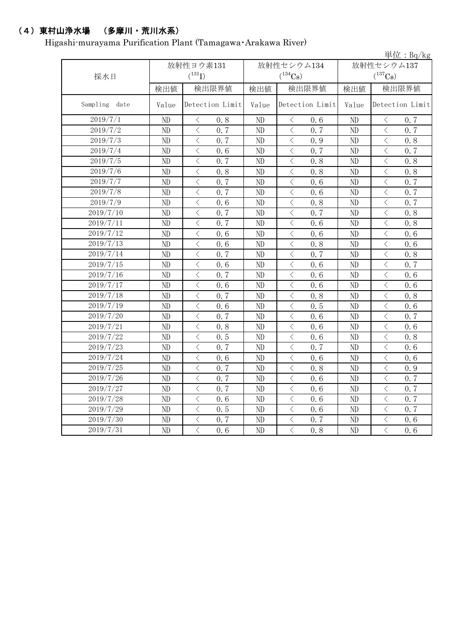## (4)東村山浄水場 (多摩川・荒川水系)

Higashi-murayama Purification Plant (Tamagawa・Arakawa River)

|               |       |                                                 |       |                                                                                                                                                                                     |            | 単位: $Bq/kg$                                     |  |
|---------------|-------|-------------------------------------------------|-------|-------------------------------------------------------------------------------------------------------------------------------------------------------------------------------------|------------|-------------------------------------------------|--|
|               |       | 放射性ヨウ素131                                       |       | 放射性セシウム134                                                                                                                                                                          | 放射性セシウム137 |                                                 |  |
| 採水日           |       | $(^{131}I)$                                     |       | $(^{134}Cs)$                                                                                                                                                                        |            | $(^{137}Cs)$                                    |  |
|               | 検出値   | 検出限界値                                           | 検出値   | 検出限界値                                                                                                                                                                               | 検出値        | 検出限界値                                           |  |
| Sampling date | Value | Detection Limit                                 | Value | Detection Limit                                                                                                                                                                     | Value      | Detection Limit                                 |  |
| 2019/7/1      | ND    | $\langle$<br>0.8                                | ND    | $\langle$<br>0.6                                                                                                                                                                    | ND         | $\langle$<br>0.7                                |  |
| 2019/7/2      | ND    | $\lt$<br>0.7                                    | ND    | 0.7<br>$\lt$                                                                                                                                                                        | ND         | 0.7<br>$\lt$                                    |  |
| 2019/7/3      | ND    | $\lt$<br>0.7                                    | ND    | 0.9<br>$\lt$                                                                                                                                                                        | ND         | $\lt$<br>0.8                                    |  |
| 2019/7/4      | ND    | $\lt$<br>0.6                                    | ND    | 0.7<br>$\lt$                                                                                                                                                                        | ND         | $\lt$<br>0.7                                    |  |
| 2019/7/5      | ND    | $\overline{\left\langle \right\rangle }$<br>0.7 | ND    | $\overline{\left\langle \right\rangle }$<br>0.8                                                                                                                                     | ND         | $\langle$<br>0.8                                |  |
| 2019/7/6      | ND    | $\overline{\left\langle \right\rangle }$<br>0.8 | ND    | $\langle$<br>0.8                                                                                                                                                                    | ND         | $\langle$<br>0.8                                |  |
| 2019/7/7      | ND    | $\langle$<br>0.7                                | ND    | $\langle$<br>0.6                                                                                                                                                                    | ND         | $\langle$<br>0.7                                |  |
| 2019/7/8      | ND    | $\langle$<br>0.7                                | ND    | $\langle$<br>0.6                                                                                                                                                                    | ND         | $\langle$<br>0.7                                |  |
| 2019/7/9      | ND    | $\langle$<br>0.6                                | ND    | $\overline{\left\langle \right. }% ,\left\langle \overline{\left\langle \right. }% ,\left\langle \overline{\left\langle \right. }\right\rangle \right\rangle \left. \right.$<br>0.8 | ND         | $\langle$<br>0.7                                |  |
| 2019/7/10     | ND    | $\langle$<br>0.7                                | ND    | $\langle$<br>0.7                                                                                                                                                                    | ND         | $\langle$<br>0.8                                |  |
| 2019/7/11     | ND    | $\lt$<br>0.7                                    | ND    | $\langle$<br>0.6                                                                                                                                                                    | ND         | $\langle$<br>0.8                                |  |
| 2019/7/12     | ND    | $\langle$<br>0.6                                | ND    | $\langle$<br>0.6                                                                                                                                                                    | ND         | $\langle$<br>0.6                                |  |
| 2019/7/13     | ND    | $\langle$<br>0, 6                               | ND    | $\langle$<br>0.8                                                                                                                                                                    | ND         | $\langle$<br>0.6                                |  |
| 2019/7/14     | ND    | $\overline{\left\langle \right\rangle }$<br>0.7 | ND    | $\langle$<br>0.7                                                                                                                                                                    | ND         | $\bigg\langle$<br>0.8                           |  |
| 2019/7/15     | ND    | $\overline{\left\langle \right\rangle }$<br>0.6 | ND    | $\langle$<br>0.6                                                                                                                                                                    | ND         | $\lt$<br>0.7                                    |  |
| 2019/7/16     | ND    | $\overline{\left\langle \right\rangle }$<br>0.7 | ND    | $\langle$<br>0.6                                                                                                                                                                    | ND         | $\lt$<br>0.6                                    |  |
| 2019/7/17     | ND    | $\lt$<br>0.6                                    | ND    | $\langle$<br>0.6                                                                                                                                                                    | ND         | $\lt$<br>0.6                                    |  |
| 2019/7/18     | ND    | $\lt$<br>0.7                                    | ND    | $\lt$<br>0.8                                                                                                                                                                        | ND         | $\lt$<br>0.8                                    |  |
| 2019/7/19     | ND    | $\lt$<br>0.6                                    | ND    | $\lt$<br>0.5                                                                                                                                                                        | ND         | $\lt$<br>0.6                                    |  |
| 2019/7/20     | ND    | $\overline{\left\langle \right\rangle }$<br>0.7 | ND    | $\lt$<br>0.6                                                                                                                                                                        | ND         | $\lt$<br>0.7                                    |  |
| 2019/7/21     | ND    | $\overline{\left\langle \right\rangle }$<br>0.8 | ND    | $\lt$<br>0.6                                                                                                                                                                        | ND         | $\lt$<br>0.6                                    |  |
| 2019/7/22     | ND    | $\overline{\left\langle \right\rangle }$<br>0.5 | ND    | $\overline{\left\langle \right\rangle }$<br>0.6                                                                                                                                     | ND         | $\overline{\left\langle \right\rangle }$<br>0.8 |  |
| 2019/7/23     | ND    | $\overline{\left\langle \right\rangle }$<br>0.7 | ND    | $\overline{\left\langle \right\rangle }$<br>0.7                                                                                                                                     | ND         | $\langle$<br>0.6                                |  |
| 2019/7/24     | ND    | $\overline{\left\langle \right\rangle }$<br>0.6 | ND    | $\overline{\left\langle \right\rangle }$<br>0.6                                                                                                                                     | ND         | $\langle$<br>0.6                                |  |
| 2019/7/25     | ND    | $\overline{\left\langle \right\rangle }$<br>0.7 | ND    | $\overline{\left\langle \right\rangle }$<br>0.8                                                                                                                                     | ND         | $\langle$<br>0.9                                |  |
| 2019/7/26     | ND    | $\overline{\left\langle \right\rangle }$<br>0.7 | ND    | $\overline{\left\langle \right. }% ,\left\langle \overline{\left\langle \right. }% ,\left\langle \overline{\left\langle \right\rangle }\right\rangle \right.$<br>0.6                | ND         | $\langle$<br>0.7                                |  |
| 2019/7/27     | ND    | $\overline{\left\langle \right\rangle }$<br>0.7 | ND    | $\langle$<br>0.6                                                                                                                                                                    | ND         | $\langle$<br>0.7                                |  |
| 2019/7/28     | ND    | $\overline{\left\langle \right\rangle }$<br>0.6 | ND    | $\overline{\left\langle \right\rangle }$<br>0.6                                                                                                                                     | ND         | $\lt$<br>0.7                                    |  |
| 2019/7/29     | ND    | $\overline{\left\langle \right\rangle }$<br>0.5 | ND    | $\lt$<br>0.6                                                                                                                                                                        | ND         | $\lt$<br>0, 7                                   |  |
| 2019/7/30     | ND    | $\lt$<br>0.7                                    | ND    | $\lt$<br>0.7                                                                                                                                                                        | ND         | $\,$ $\,$ $\,$<br>0.6                           |  |
| 2019/7/31     | ND    | $\overline{\left\langle \right\rangle }$<br>0.6 | ND    | $\overline{\left\langle \right\rangle }$<br>0.8                                                                                                                                     | ND         | $\overline{\left\langle \right\rangle }$<br>0.6 |  |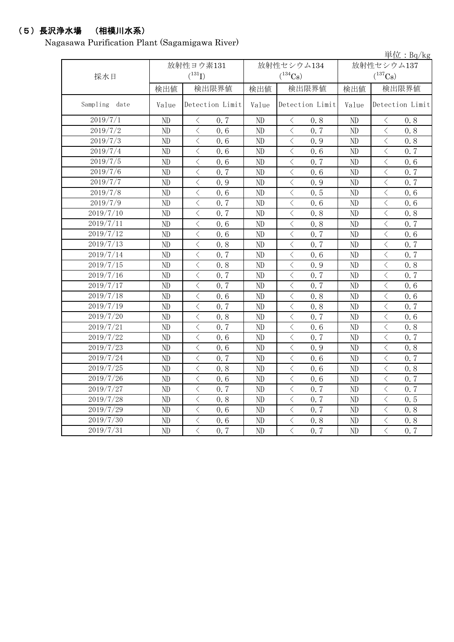# (5)長沢浄水場 (相模川水系)

Nagasawa Purification Plant (Sagamigawa River)

|               |       |                                                  |          |                                                 |              | 単位: $Bq/kg$                                     |  |
|---------------|-------|--------------------------------------------------|----------|-------------------------------------------------|--------------|-------------------------------------------------|--|
|               |       | 放射性ヨウ素131                                        |          | 放射性セシウム134                                      | 放射性セシウム137   |                                                 |  |
| 採水日           |       | $(^{131}I)$                                      |          | $(^{134}Cs)$                                    | $(^{137}Cs)$ |                                                 |  |
|               | 検出値   | 検出限界値                                            | 検出値      | 検出限界値                                           | 検出値          | 検出限界値                                           |  |
| Sampling date | Value | Detection Limit                                  | Value    | Detection Limit                                 | Value        | Detection Limit                                 |  |
| 2019/7/1      | ND    | $\langle$<br>0.7                                 | $\rm ND$ | $\langle$<br>0.8                                | $\rm ND$     | $\bigl\langle$<br>0.8                           |  |
| 2019/7/2      | ND    | $\overline{\langle}$<br>0, 6                     | $\rm ND$ | $\langle$<br>0.7                                | $\rm ND$     | $\langle$<br>0.8                                |  |
| 2019/7/3      | ND    | $\langle$<br>0.6                                 | $\rm ND$ | $\langle$<br>0.9                                | $\rm ND$     | $\langle$<br>0.8                                |  |
| 2019/7/4      | ND    | $\overline{\left\langle \right\rangle }$<br>0.6  | ND       | $\,$ $\,$ $\,$<br>0.6                           | ND           | $\langle$<br>0.7                                |  |
| 2019/7/5      | ND    | $\overline{\left\langle \right\rangle }$<br>0.6  | ND       | $\langle$<br>0.7                                | ND           | $\langle$<br>0.6                                |  |
| 2019/7/6      | ND    | $\lt$<br>0.7                                     | ND       | $\lt$<br>0.6                                    | ND           | $\lt$<br>0.7                                    |  |
| 2019/7/7      | ND    | $\overline{\left\langle \right\rangle }$<br>0.9  | ND       | $\langle$<br>0.9                                | $\rm ND$     | $\langle$<br>0.7                                |  |
| 2019/7/8      | ND    | $\overline{\left\langle \right\rangle }$<br>0, 6 | ND       | $\,$ $\,$ $\,$<br>0.5                           | ND           | $\overline{\left\langle \right\rangle }$<br>0.6 |  |
| 2019/7/9      | ND    | $\langle$<br>0.7                                 | ND       | $\,$ $\,$ $\,$<br>0.6                           | ND           | $\langle$<br>0.6                                |  |
| 2019/7/10     | ND    | $\overline{\langle}$<br>0.7                      | ND       | $\langle$<br>0.8                                | ND           | $\lt$<br>0.8                                    |  |
| 2019/7/11     | ND    | $\langle$<br>0.6                                 | ND       | $\,$ $\,$ $\,$<br>0.8                           | $\rm ND$     | $\langle$<br>0.7                                |  |
| 2019/7/12     | ND    | $\overline{\left\langle \right\rangle }$<br>0, 6 | ND       | $\,$ $\,$ $\,$<br>0.7                           | ND           | $\overline{\left\langle \right\rangle }$<br>0.6 |  |
| 2019/7/13     | ND    | $\langle$<br>0.8                                 | ND       | $\langle$<br>0.7                                | ND           | $\langle$<br>0.7                                |  |
| 2019/7/14     | ND    | $\overline{\langle}$<br>0.7                      | ND       | $\langle$<br>0.6                                | ND           | $\langle$<br>0.7                                |  |
| 2019/7/15     | ND    | $\overline{\left\langle \right\rangle }$<br>0.8  | ND       | $\langle$<br>0.9                                | ND           | $\langle$<br>0.8                                |  |
| 2019/7/16     | ND    | $\overline{\left\langle \right\rangle }$<br>0.7  | ND       | $\,$ $\,$ $\,$<br>0.7                           | ND           | $\overline{\left\langle \right\rangle }$<br>0.7 |  |
| 2019/7/17     | ND    | $\overline{\left\langle \right\rangle }$<br>0.7  | ND       | $\langle$<br>0.7                                | ND           | $\overline{\left\langle \right\rangle }$<br>0.6 |  |
| 2019/7/18     | ND    | $\overline{\langle}$<br>0, 6                     | ND       | $\langle$<br>0.8                                | ND           | $\langle$<br>0.6                                |  |
| 2019/7/19     | ND    | $\langle$<br>0.7                                 | ND       | $\,$ $\,$ $\,$<br>0.8                           | ND           | $\langle$<br>0.7                                |  |
| 2019/7/20     | ND    | $\overline{\left\langle \right\rangle }$<br>0.8  | ND       | $\,$ $\,$ $\,$<br>0.7                           | ND           | $\overline{\left\langle \right\rangle }$<br>0.6 |  |
| 2019/7/21     | ND    | $\overline{\left\langle \right\rangle }$<br>0.7  | ND       | $\overline{\left\langle \right\rangle }$<br>0.6 | ND           | $\overline{\left\langle \right\rangle }$<br>0.8 |  |
| 2019/7/22     | ND    | $\overline{\left\langle \right\rangle }$<br>0.6  | ND       | $\overline{\left\langle \right\rangle }$<br>0.7 | ND           | $\overline{\left\langle \right\rangle }$<br>0.7 |  |
| 2019/7/23     | ND    | $\overline{\left\langle \right\rangle }$<br>0.6  | ND       | $\,$ $\,$ $\,$<br>0.9                           | ND           | $\langle$<br>0.8                                |  |
| 2019/7/24     | ND    | $\overline{\left\langle \right\rangle }$<br>0.7  | ND       | $\langle$<br>0.6                                | ND           | $\overline{\left\langle \right\rangle }$<br>0.7 |  |
| 2019/7/25     | ND    | $\overline{\left\langle \right\rangle }$<br>0.8  | ND       | $\overline{\left\langle \right\rangle }$<br>0.6 | ND           | $\overline{\left\langle \right\rangle }$<br>0.8 |  |
| 2019/7/26     | ND    | $\overline{\left\langle \right\rangle }$<br>0.6  | ND       | $\langle$<br>0.6                                | ND           | $\overline{\left\langle \right\rangle }$<br>0.7 |  |
| 2019/7/27     | ND    | $\overline{\left\langle \right\rangle }$<br>0.7  | ND       | $\lt$<br>0.7                                    | ND           | $\overline{\left\langle \right\rangle }$<br>0.7 |  |
| 2019/7/28     | ND    | $\overline{\left\langle \right\rangle }$<br>0.8  | ND       | $\langle$<br>0.7                                | ND           | $\overline{\left\langle \right\rangle }$<br>0.5 |  |
| 2019/7/29     | ND    | $\lt$<br>0.6                                     | ND       | $\langle$<br>0.7                                | ND           | $\langle$<br>0.8                                |  |
| 2019/7/30     | ND    | $\overline{\left\langle \right\rangle }$<br>0.6  | ND       | $\overline{\left\langle \right\rangle }$<br>0.8 | ND           | $\overline{\left\langle \right\rangle }$<br>0.8 |  |
| 2019/7/31     | ND    | $\overline{\left\langle \right\rangle }$<br>0.7  | ND       | $\overline{\left\langle \right\rangle }$<br>0.7 | ND           | $\overline{\left\langle \right\rangle }$<br>0.7 |  |